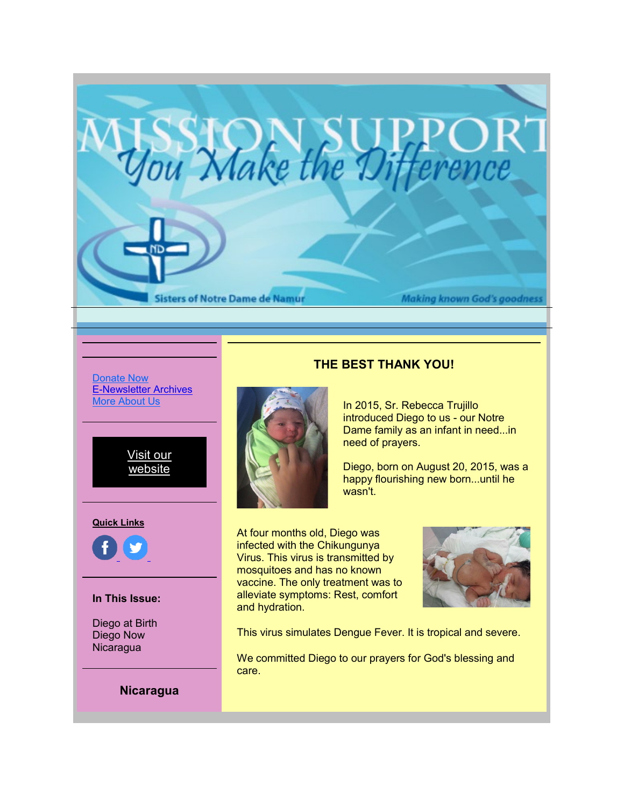

[Donate Now](https://r20.rs6.net/tn.jsp?f=001vdGhk8x1jeZx-vD-dcD1jlB6wOf6l3ZpB_QeIzo03VSyyISH5yvz_OANPvZlBBj1T_hy6QSEyhxxkAeyfU46iPHFuR10nUWtnlSWQyDjLc9EYTE7dDkHxV1VuXHwNIMe3tVDm3ZB64y-Rb0OJVtr_zlkEb2fiKM9zmoclv2pF0Ibmz4521ODYoqDYZRY2WWViblmdP9jb9Vyzjo73aQpcMQeoLveh0Jkp1wSUw4Gxa2-4nA0_Fha8IIMHAVP9hm0vSwrngWj7as=&c=TLJBLDAeE3peyO91pdvegTBj_rePSZ2DX2xwjFjjg14pq0UggLsnaA==&ch=JmKSTpcC0Bf-amyNE4sMwGXjl2-9noauQNC2asrjwYByLge13atl9w==) [E-Newsletter Archives](https://r20.rs6.net/tn.jsp?f=001vdGhk8x1jeZx-vD-dcD1jlB6wOf6l3ZpB_QeIzo03VSyyISH5yvz_P556fKX8HhEqtOtopXn80mV0GI6MC0uNDprfvJKLhCIyj6JJjCpZENWws2WUnfKpZ5m8vWlOvTvbcNnxJ2v55qtBH5kFteqxXuOdZ174vnvHR2BJlK01o02cQs8eYigzjzaF_fQKzQX&c=TLJBLDAeE3peyO91pdvegTBj_rePSZ2DX2xwjFjjg14pq0UggLsnaA==&ch=JmKSTpcC0Bf-amyNE4sMwGXjl2-9noauQNC2asrjwYByLge13atl9w==) [More About](https://r20.rs6.net/tn.jsp?f=001vdGhk8x1jeZx-vD-dcD1jlB6wOf6l3ZpB_QeIzo03VSyyISH5yvz_BNbyhmCI2nktSRL56NfLDcwgSIK1j8O5NbaX2gZq7hbwUXykxaChaGRzlZP5AP0x0TebCqCxBbKkRZAaQ6tamgOlhKN8OM5jw==&c=TLJBLDAeE3peyO91pdvegTBj_rePSZ2DX2xwjFjjg14pq0UggLsnaA==&ch=JmKSTpcC0Bf-amyNE4sMwGXjl2-9noauQNC2asrjwYByLge13atl9w==) [Us](https://r20.rs6.net/tn.jsp?f=001vdGhk8x1jeZx-vD-dcD1jlB6wOf6l3ZpB_QeIzo03VSyyISH5yvz_BNbyhmCI2nktSRL56NfLDcwgSIK1j8O5NbaX2gZq7hbwUXykxaChaGRzlZP5AP0x0TebCqCxBbKkRZAaQ6tamgOlhKN8OM5jw==&c=TLJBLDAeE3peyO91pdvegTBj_rePSZ2DX2xwjFjjg14pq0UggLsnaA==&ch=JmKSTpcC0Bf-amyNE4sMwGXjl2-9noauQNC2asrjwYByLge13atl9w==)



**Quick Links**



## **In This Issue:**

Diego at Birth Diego Now **Nicaragua** 

**Nicaragua**

## **THE BEST THANK YOU!**



In 2015, Sr. Rebecca Trujillo introduced Diego to us - our Notre Dame family as an infant in need...in need of prayers.

Diego, born on August 20, 2015, was a happy flourishing new born...until he wasn't.

At four months old, Diego was infected with the Chikungunya Virus. This virus is transmitted by mosquitoes and has no known vaccine. The only treatment was to alleviate symptoms: Rest, comfort and hydration.



This virus simulates Dengue Fever. It is tropical and severe.

We committed Diego to our prayers for God's blessing and care.